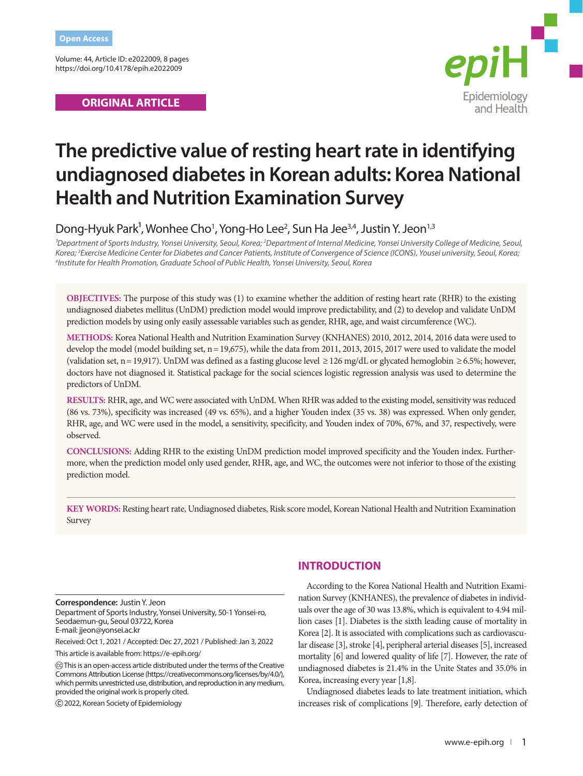Volume: 44, Article ID: e2022009, 8 pages https://doi.org/10.4178/epih.e2022009

## **ORIGINAL ARTICLE**



# **The predictive value of resting heart rate in identifying undiagnosed diabetes in Korean adults: Korea National Health and Nutrition Examination Survey**

Dong-Hyuk Park<sup>1</sup>, Wonhee Cho<sup>1</sup>, Yong-Ho Lee<sup>2</sup>, Sun Ha Jee<sup>3,4</sup>, Justin Y. Jeon<sup>1,3</sup>

<sup>1</sup>Department of Sports Industry, Yonsei University, Seoul, Korea; <sup>2</sup>Department of Internal Medicine, Yonsei University College of Medicine, Seoul, Korea; <sup>3</sup>Exercise Medicine Center for Diabetes and Cancer Patients, Institute of Convergence of Science (ICONS), Yousei university, Seoul, Korea;<br><sup>4</sup>Institute for Health Promotion, Graduate School of Public Health, Yonsei *Institute for Health Promotion, Graduate School of Public Health, Yonsei University, Seoul, Korea*

**OBJECTIVES:** The purpose of this study was (1) to examine whether the addition of resting heart rate (RHR) to the existing undiagnosed diabetes mellitus (UnDM) prediction model would improve predictability, and (2) to develop and validate UnDM prediction models by using only easily assessable variables such as gender, RHR, age, and waist circumference (WC).

**METHODS:** Korea National Health and Nutrition Examination Survey (KNHANES) 2010, 2012, 2014, 2016 data were used to develop the model (model building set, n= 19,675), while the data from 2011, 2013, 2015, 2017 were used to validate the model (validation set, n = 19,917). UnDM was defined as a fasting glucose level  $\geq 126$  mg/dL or glycated hemoglobin  $\geq 6.5\%$ ; however, doctors have not diagnosed it. Statistical package for the social sciences logistic regression analysis was used to determine the predictors of UnDM.

**RESULTS:** RHR, age, and WC were associated with UnDM. When RHR was added to the existing model, sensitivity was reduced (86 vs. 73%), specificity was increased (49 vs. 65%), and a higher Youden index (35 vs. 38) was expressed. When only gender, RHR, age, and WC were used in the model, a sensitivity, specificity, and Youden index of 70%, 67%, and 37, respectively, were observed.

**CONCLUSIONS:** Adding RHR to the existing UnDM prediction model improved specificity and the Youden index. Furthermore, when the prediction model only used gender, RHR, age, and WC, the outcomes were not inferior to those of the existing prediction model.

**KEY WORDS:** Resting heart rate, Undiagnosed diabetes, Risk score model, Korean National Health and Nutrition Examination Survey

**Correspondence:** Justin Y. Jeon

Department of Sports Industry, Yonsei University, 50-1 Yonsei-ro, Seodaemun-gu, Seoul 03722, Korea E-mail: jjeon@yonsei.ac.kr

Received: Oct 1, 2021 / Accepted: Dec 27, 2021 / Published: Jan 3, 2022

This article is available from: https://e-epih.org/

2022, Korean Society of Epidemiology

# **INTRODUCTION**

According to the Korea National Health and Nutrition Examination Survey (KNHANES), the prevalence of diabetes in individuals over the age of 30 was 13.8%, which is equivalent to 4.94 million cases [1]. Diabetes is the sixth leading cause of mortality in Korea [2]. It is associated with complications such as cardiovascular disease [3], stroke [4], peripheral arterial diseases [5], increased mortality [6] and lowered quality of life [7]. However, the rate of undiagnosed diabetes is 21.4% in the Unite States and 35.0% in Korea, increasing every year [1,8].

Undiagnosed diabetes leads to late treatment initiation, which increases risk of complications [9]. Therefore, early detection of

This is an open-access article distributed under the terms of the Creative Commons Attribution License (https://creativecommons.org/licenses/by/4.0/), which permits unrestricted use, distribution, and reproduction in any medium, provided the original work is properly cited.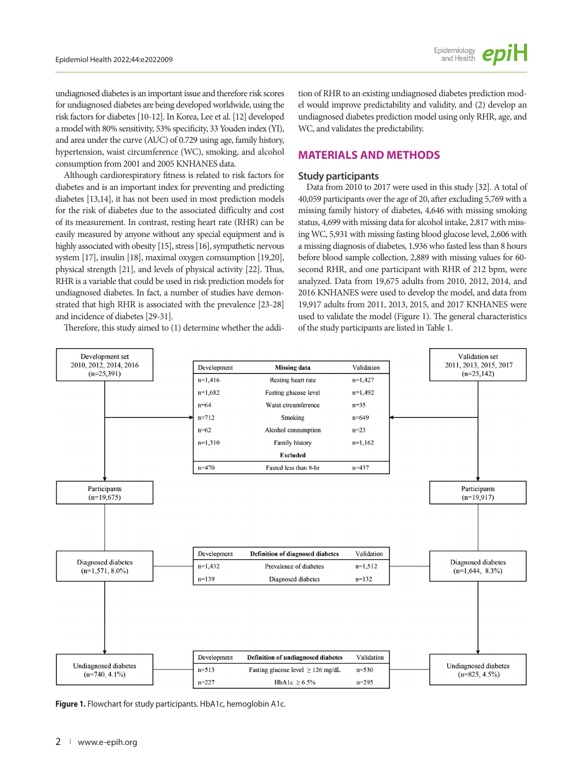undiagnosed diabetes is an important issue and therefore risk scores for undiagnosed diabetes are being developed worldwide, using the risk factors for diabetes [10-12]. In Korea, Lee et al. [12] developed a model with 80% sensitivity, 53% specificity, 33 Youden index (YI), and area under the curve (AUC) of 0.729 using age, family history, hypertension, waist circumference (WC), smoking, and alcohol consumption from 2001 and 2005 KNHANES data.

Although cardiorespiratory fitness is related to risk factors for diabetes and is an important index for preventing and predicting diabetes [13,14], it has not been used in most prediction models for the risk of diabetes due to the associated difficulty and cost of its measurement. In contrast, resting heart rate (RHR) can be easily measured by anyone without any special equipment and is highly associated with obesity [15], stress [16], sympathetic nervous system [17], insulin [18], maximal oxygen comsumption [19,20], physical strength [21], and levels of physical activity [22]. Thus, RHR is a variable that could be used in risk prediction models for undiagnosed diabetes. In fact, a number of studies have demonstrated that high RHR is associated with the prevalence [23-28] and incidence of diabetes [29-31].

Therefore, this study aimed to (1) determine whether the addi-

tion of RHR to an existing undiagnosed diabetes prediction model would improve predictability and validity, and (2) develop an undiagnosed diabetes prediction model using only RHR, age, and WC, and validates the predictability.

## **MATERIALS AND METHODS**

## **Study participants**

Data from 2010 to 2017 were used in this study [32]. A total of 40,059 participants over the age of 20, after excluding 5,769 with a missing family history of diabetes, 4,646 with missing smoking status, 4,699 with missing data for alcohol intake, 2,817 with missing WC, 5,931 with missing fasting blood glucose level, 2,606 with a missing diagnosis of diabetes, 1,936 who fasted less than 8 hours before blood sample collection, 2,889 with missing values for 60 second RHR, and one participant with RHR of 212 bpm, were analyzed. Data from 19,675 adults from 2010, 2012, 2014, and 2016 KNHANES were used to develop the model, and data from 19,917 adults from 2011, 2013, 2015, and 2017 KNHANES were used to validate the model (Figure 1). The general characteristics of the study participants are listed in Table 1.



**Figure 1.** Flowchart for study participants. HbA1c, hemoglobin A1c.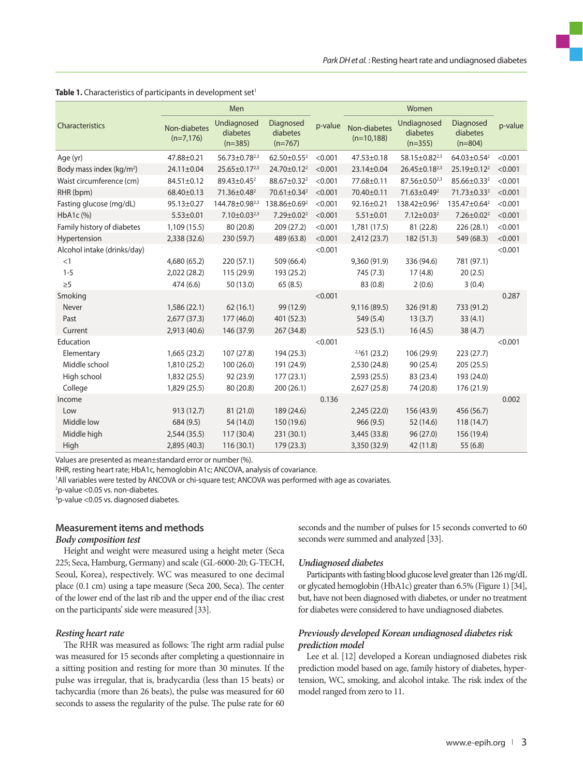|                                      |                             | Men                                  |                                    |         |                               |                                      |                                    |         |
|--------------------------------------|-----------------------------|--------------------------------------|------------------------------------|---------|-------------------------------|--------------------------------------|------------------------------------|---------|
| Characteristics                      | Non-diabetes<br>$(n=7,176)$ | Undiagnosed<br>diabetes<br>$(n=385)$ | Diagnosed<br>diabetes<br>$(n=767)$ | p-value | Non-diabetes<br>$(n=10, 188)$ | Undiagnosed<br>diabetes<br>$(n=355)$ | Diagnosed<br>diabetes<br>$(n=804)$ | p-value |
| Age (yr)                             | 47.88±0.21                  | $56.73 \pm 0.78^{2,3}$               | 62.50 $\pm$ 0.55 <sup>2</sup>      | < 0.001 | $47.53 \pm 0.18$              | 58.15±0.82 <sup>2,3</sup>            | 64.03 $\pm$ 0.54 <sup>2</sup>      | < 0.001 |
| Body mass index (kg/m <sup>2</sup> ) | 24.11±0.04                  | $25.65 \pm 0.17^{2,3}$               | 24.70±0.12 <sup>2</sup>            | < 0.001 | 23.14±0.04                    | 26.45±0.18 <sup>2,3</sup>            | 25.19±0.12 <sup>2</sup>            | < 0.001 |
| Waist circumference (cm)             | 84.51±0.12                  | 89.43±0.45 <sup>2</sup>              | 88.67±0.32 <sup>2</sup>            | < 0.001 | 77.68±0.11                    | 87.56±0.50 <sup>2,3</sup>            | 85.66±0.33 <sup>2</sup>            | < 0.001 |
| RHR (bpm)                            | 68.40±0.13                  | 71.36±0.48 <sup>2</sup>              | 70.61±0.34 <sup>2</sup>            | < 0.001 | 70.40±0.11                    | 71.63±0.49 <sup>2</sup>              | 71.73±0.33 <sup>2</sup>            | < 0.001 |
| Fasting glucose (mg/dL)              | 95.13±0.27                  | 144.78±0.98 <sup>2,3</sup>           | 138.86±0.69 <sup>2</sup>           | < 0.001 | 92.16±0.21                    | 138.42±0.96 <sup>2</sup>             | 135.47±0.64 <sup>2</sup>           | < 0.001 |
| HbA1c (%)                            | $5.53 \pm 0.01$             | $7.10 \pm 0.03^{2,3}$                | 7.29±0.02 <sup>2</sup>             | < 0.001 | $5.51 \pm 0.01$               | $7.12 \pm 0.03^2$                    | $7.26 \pm 0.02^2$                  | < 0.001 |
| Family history of diabetes           | 1,109 (15.5)                | 80 (20.8)                            | 209 (27.2)                         | < 0.001 | 1,781 (17.5)                  | 81 (22.8)                            | 226 (28.1)                         | < 0.001 |
| Hypertension                         | 2,338 (32.6)                | 230 (59.7)                           | 489 (63.8)                         | < 0.001 | 2,412(23.7)                   | 182 (51.3)                           | 549 (68.3)                         | < 0.001 |
| Alcohol intake (drinks/day)          |                             |                                      |                                    | < 0.001 |                               |                                      |                                    | < 0.001 |
| <1                                   | 4,680 (65.2)                | 220(57.1)                            | 509 (66.4)                         |         | 9,360 (91.9)                  | 336 (94.6)                           | 781 (97.1)                         |         |
| $1 - 5$                              | 2,022 (28.2)                | 115 (29.9)                           | 193 (25.2)                         |         | 745 (7.3)                     | 17(4.8)                              | 20(2.5)                            |         |
| $\geq 5$                             | 474 (6.6)                   | 50 (13.0)                            | 65(8.5)                            |         | 83(0.8)                       | 2(0.6)                               | 3(0.4)                             |         |
| Smoking                              |                             |                                      |                                    | < 0.001 |                               |                                      |                                    | 0.287   |
| Never                                | 1,586 (22.1)                | 62(16.1)                             | 99 (12.9)                          |         | 9,116 (89.5)                  | 326 (91.8)                           | 733 (91.2)                         |         |
| Past                                 | 2,677(37.3)                 | 177(46.0)                            | 401 (52.3)                         |         | 549 (5.4)                     | 13(3.7)                              | 33(4.1)                            |         |
| Current                              | 2,913 (40.6)                | 146 (37.9)                           | 267 (34.8)                         |         | 523(5.1)                      | 16(4.5)                              | 38 (4.7)                           |         |
| Education                            |                             |                                      |                                    | < 0.001 |                               |                                      |                                    | < 0.001 |
| Elementary                           | 1,665(23.2)                 | 107(27.8)                            | 194 (25.3)                         |         | $2,361$ (23.2)                | 106 (29.9)                           | 223 (27.7)                         |         |
| Middle school                        | 1,810 (25.2)                | 100 (26.0)                           | 191 (24.9)                         |         | 2,530 (24.8)                  | 90 (25.4)                            | 205 (25.5)                         |         |
| High school                          | 1,832 (25.5)                | 92 (23.9)                            | 177(23.1)                          |         | 2,593(25.5)                   | 83 (23.4)                            | 193 (24.0)                         |         |
| College                              | 1,829 (25.5)                | 80 (20.8)                            | 200 (26.1)                         |         | 2,627 (25.8)                  | 74 (20.8)                            | 176 (21.9)                         |         |
| Income                               |                             |                                      |                                    | 0.136   |                               |                                      |                                    | 0.002   |
| Low                                  | 913(12.7)                   | 81 (21.0)                            | 189 (24.6)                         |         | 2,245 (22.0)                  | 156 (43.9)                           | 456 (56.7)                         |         |
| Middle low                           | 684 (9.5)                   | 54 (14.0)                            | 150 (19.6)                         |         | 966(9.5)                      | 52 (14.6)                            | 118 (14.7)                         |         |
| Middle high                          | 2,544(35.5)                 | 117 (30.4)                           | 231 (30.1)                         |         | 3,445 (33.8)                  | 96(27.0)                             | 156 (19.4)                         |         |
| High                                 | 2,895 (40.3)                | 116(30.1)                            | 179(23.3)                          |         | 3,350 (32.9)                  | 42 (11.8)                            | 55(6.8)                            |         |

#### Table 1. Characteristics of participants in development set<sup>1</sup>

Values are presented as mean±standard error or number (%).

RHR, resting heart rate; HbA1c, hemoglobin A1c; ANCOVA, analysis of covariance.

1 All variables were tested by ANCOVA or chi-square test; ANCOVA was performed with age as covariates.

2 p-value <0.05 vs. non-diabetes.

<sup>3</sup>p-value <0.05 vs. diagnosed diabetes.

#### **Measurement items and methods** *Body composition test*

Height and weight were measured using a height meter (Seca 225; Seca, Hamburg, Germany) and scale (GL-6000-20; G-TECH, Seoul, Korea), respectively. WC was measured to one decimal place (0.1 cm) using a tape measure (Seca 200, Seca). The center of the lower end of the last rib and the upper end of the iliac crest on the participants' side were measured [33].

#### *Resting heart rate*

The RHR was measured as follows: The right arm radial pulse was measured for 15 seconds after completing a questionnaire in a sitting position and resting for more than 30 minutes. If the pulse was irregular, that is, bradycardia (less than 15 beats) or tachycardia (more than 26 beats), the pulse was measured for 60 seconds to assess the regularity of the pulse. The pulse rate for 60 seconds and the number of pulses for 15 seconds converted to 60 seconds were summed and analyzed [33].

#### *Undiagnosed diabetes*

Participants with fasting blood glucose level greater than 126 mg/dL or glycated hemoglobin (HbA1c) greater than 6.5% (Figure 1) [34], but, have not been diagnosed with diabetes, or under no treatment for diabetes were considered to have undiagnosed diabetes.

## *Previously developed Korean undiagnosed diabetes risk prediction model*

Lee et al. [12] developed a Korean undiagnosed diabetes risk prediction model based on age, family history of diabetes, hypertension, WC, smoking, and alcohol intake. The risk index of the model ranged from zero to 11.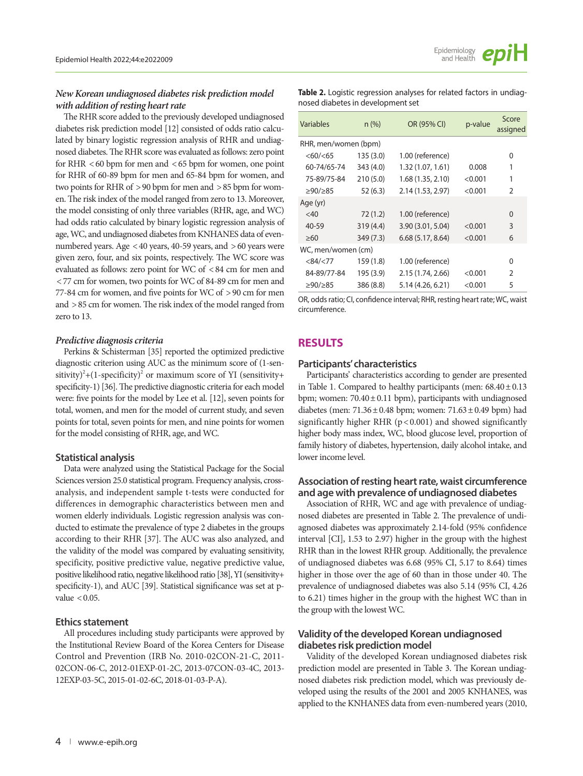## *New Korean undiagnosed diabetes risk prediction model with addition of resting heart rate*

The RHR score added to the previously developed undiagnosed diabetes risk prediction model [12] consisted of odds ratio calculated by binary logistic regression analysis of RHR and undiagnosed diabetes. The RHR score was evaluated as follows: zero point for RHR < 60 bpm for men and < 65 bpm for women, one point for RHR of 60-89 bpm for men and 65-84 bpm for women, and two points for RHR of > 90 bpm for men and > 85 bpm for women. The risk index of the model ranged from zero to 13. Moreover, the model consisting of only three variables (RHR, age, and WC) had odds ratio calculated by binary logistic regression analysis of age, WC, and undiagnosed diabetes from KNHANES data of evennumbered years. Age < 40 years, 40-59 years, and > 60 years were given zero, four, and six points, respectively. The WC score was evaluated as follows: zero point for WC of < 84 cm for men and < 77 cm for women, two points for WC of 84-89 cm for men and 77-84 cm for women, and five points for WC of > 90 cm for men and > 85 cm for women. The risk index of the model ranged from zero to 13.

#### *Predictive diagnosis criteria*

Perkins & Schisterman [35] reported the optimized predictive diagnostic criterion using AUC as the minimum score of (1-sensitivity) $^{2}$ +(1-specificity) $^{2}$  or maximum score of YI (sensitivity+ specificity-1) [36]. The predictive diagnostic criteria for each model were: five points for the model by Lee et al. [12], seven points for total, women, and men for the model of current study, and seven points for total, seven points for men, and nine points for women for the model consisting of RHR, age, and WC.

#### **Statistical analysis**

Data were analyzed using the Statistical Package for the Social Sciences version 25.0 statistical program. Frequency analysis, crossanalysis, and independent sample t-tests were conducted for differences in demographic characteristics between men and women elderly individuals. Logistic regression analysis was conducted to estimate the prevalence of type 2 diabetes in the groups according to their RHR [37]. The AUC was also analyzed, and the validity of the model was compared by evaluating sensitivity, specificity, positive predictive value, negative predictive value, positive likelihood ratio, negative likelihood ratio [38], YI (sensitivity+ specificity-1), and AUC [39]. Statistical significance was set at pvalue  $< 0.05$ .

#### **Ethics statement**

All procedures including study participants were approved by the Institutional Review Board of the Korea Centers for Disease Control and Prevention (IRB No. 2010-02CON-21-C, 2011- 02CON-06-C, 2012-01EXP-01-2C, 2013-07CON-03-4C, 2013- 12EXP-03-5C, 2015-01-02-6C, 2018-01-03-P-A).

**Table 2.** Logistic regression analyses for related factors in undiagnosed diabetes in development set

| Variables            | n (%)     | OR (95% CI)       | p-value | Score<br>assigned |  |  |  |
|----------------------|-----------|-------------------|---------|-------------------|--|--|--|
| RHR, men/women (bpm) |           |                   |         |                   |  |  |  |
| <60/<65              | 135 (3.0) | 1.00 (reference)  |         | 0                 |  |  |  |
| 60-74/65-74          | 343 (4.0) | 1.32 (1.07, 1.61) | 0.008   | 1                 |  |  |  |
| 75-89/75-84          | 210(5.0)  | 1.68 (1.35, 2.10) | < 0.001 | 1                 |  |  |  |
| ≥90/≥85              | 52(6.3)   | 2.14 (1.53, 2.97) | < 0.001 | 2                 |  |  |  |
| Age (yr)             |           |                   |         |                   |  |  |  |
| $<$ 40               | 72(1.2)   | 1.00 (reference)  |         | 0                 |  |  |  |
| 40-59                | 319 (4.4) | 3.90 (3.01, 5.04) | < 0.001 | 3                 |  |  |  |
| $\geq 60$            | 349 (7.3) | 6.68(5.17, 8.64)  | < 0.001 | 6                 |  |  |  |
| WC, men/women (cm)   |           |                   |         |                   |  |  |  |
| <84/ <sub>77</sub>   | 159 (1.8) | 1.00 (reference)  |         | 0                 |  |  |  |
| 84-89/77-84          | 195 (3.9) | 2.15 (1.74, 2.66) | < 0.001 | $\overline{2}$    |  |  |  |
| >90/285              | 386 (8.8) | 5.14 (4.26, 6.21) | < 0.001 | 5                 |  |  |  |

OR, odds ratio; CI, confidence interval; RHR, resting heart rate; WC, waist circumference.

## **RESULTS**

#### **Participants' characteristics**

Participants' characteristics according to gender are presented in Table 1. Compared to healthy participants (men: 68.40± 0.13 bpm; women:  $70.40 \pm 0.11$  bpm), participants with undiagnosed diabetes (men:  $71.36 \pm 0.48$  bpm; women:  $71.63 \pm 0.49$  bpm) had significantly higher RHR ( $p < 0.001$ ) and showed significantly higher body mass index, WC, blood glucose level, proportion of family history of diabetes, hypertension, daily alcohol intake, and lower income level.

## **Association of resting heart rate, waist circumference and age with prevalence of undiagnosed diabetes**

Association of RHR, WC and age with prevalence of undiagnosed diabetes are presented in Table 2. The prevalence of undiagnosed diabetes was approximately 2.14-fold (95% confidence interval [CI], 1.53 to 2.97) higher in the group with the highest RHR than in the lowest RHR group. Additionally, the prevalence of undiagnosed diabetes was 6.68 (95% CI, 5.17 to 8.64) times higher in those over the age of 60 than in those under 40. The prevalence of undiagnosed diabetes was also 5.14 (95% CI, 4.26 to 6.21) times higher in the group with the highest WC than in the group with the lowest WC.

## **Validity of the developed Korean undiagnosed diabetes risk prediction model**

Validity of the developed Korean undiagnosed diabetes risk prediction model are presented in Table 3. The Korean undiagnosed diabetes risk prediction model, which was previously developed using the results of the 2001 and 2005 KNHANES, was applied to the KNHANES data from even-numbered years (2010,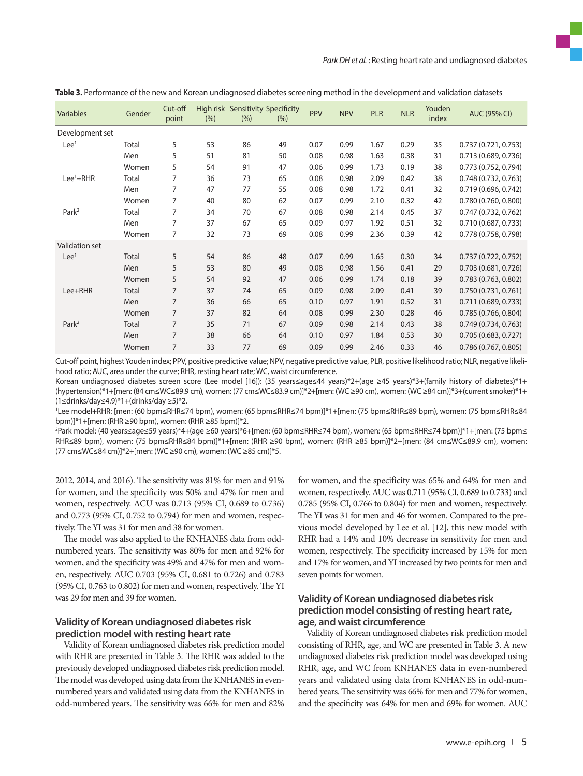| <b>Variables</b>      | Gender       | Cut-off<br>point | (%) | High risk Sensitivity Specificity<br>(% ) | (% ) | PPV  | <b>NPV</b> | <b>PLR</b> | <b>NLR</b> | Youden<br>index | <b>AUC (95% CI)</b>  |
|-----------------------|--------------|------------------|-----|-------------------------------------------|------|------|------------|------------|------------|-----------------|----------------------|
| Development set       |              |                  |     |                                           |      |      |            |            |            |                 |                      |
| Lee <sup>1</sup>      | Total        | 5                | 53  | 86                                        | 49   | 0.07 | 0.99       | 1.67       | 0.29       | 35              | 0.737(0.721, 0.753)  |
|                       | Men          | 5                | 51  | 81                                        | 50   | 0.08 | 0.98       | 1.63       | 0.38       | 31              | 0.713 (0.689, 0.736) |
|                       | Women        | 5                | 54  | 91                                        | 47   | 0.06 | 0.99       | 1.73       | 0.19       | 38              | 0.773 (0.752, 0.794) |
| Lee <sup>1</sup> +RHR | Total        | 7                | 36  | 73                                        | 65   | 0.08 | 0.98       | 2.09       | 0.42       | 38              | 0.748(0.732, 0.763)  |
|                       | Men          | 7                | 47  | 77                                        | 55   | 0.08 | 0.98       | 1.72       | 0.41       | 32              | 0.719(0.696, 0.742)  |
|                       | Women        | 7                | 40  | 80                                        | 62   | 0.07 | 0.99       | 2.10       | 0.32       | 42              | 0.780 (0.760, 0.800) |
| Park <sup>2</sup>     | Total        | 7                | 34  | 70                                        | 67   | 0.08 | 0.98       | 2.14       | 0.45       | 37              | 0.747(0.732, 0.762)  |
|                       | Men          | 7                | 37  | 67                                        | 65   | 0.09 | 0.97       | 1.92       | 0.51       | 32              | 0.710(0.687, 0.733)  |
|                       | Women        | 7                | 32  | 73                                        | 69   | 0.08 | 0.99       | 2.36       | 0.39       | 42              | 0.778 (0.758, 0.798) |
| Validation set        |              |                  |     |                                           |      |      |            |            |            |                 |                      |
| Lee <sup>1</sup>      | Total        | 5                | 54  | 86                                        | 48   | 0.07 | 0.99       | 1.65       | 0.30       | 34              | 0.737(0.722, 0.752)  |
|                       | Men          | 5                | 53  | 80                                        | 49   | 0.08 | 0.98       | 1.56       | 0.41       | 29              | 0.703(0.681, 0.726)  |
|                       | Women        | 5                | 54  | 92                                        | 47   | 0.06 | 0.99       | 1.74       | 0.18       | 39              | 0.783 (0.763, 0.802) |
| $Lee+RHR$             | <b>Total</b> | $\overline{7}$   | 37  | 74                                        | 65   | 0.09 | 0.98       | 2.09       | 0.41       | 39              | 0.750(0.731, 0.761)  |
|                       | Men          | $\overline{7}$   | 36  | 66                                        | 65   | 0.10 | 0.97       | 1.91       | 0.52       | 31              | 0.711 (0.689, 0.733) |
|                       | Women        | $\overline{7}$   | 37  | 82                                        | 64   | 0.08 | 0.99       | 2.30       | 0.28       | 46              | 0.785(0.766, 0.804)  |
| Park <sup>2</sup>     | Total        | $\overline{7}$   | 35  | 71                                        | 67   | 0.09 | 0.98       | 2.14       | 0.43       | 38              | 0.749(0.734, 0.763)  |
|                       | Men          | $\overline{7}$   | 38  | 66                                        | 64   | 0.10 | 0.97       | 1.84       | 0.53       | 30              | 0.705(0.683, 0.727)  |
|                       | Women        | 7                | 33  | 77                                        | 69   | 0.09 | 0.99       | 2.46       | 0.33       | 46              | 0.786(0.767, 0.805)  |

| Table 3. Performance of the new and Korean undiagnosed diabetes screening method in the development and validation datasets |  |  |  |  |  |
|-----------------------------------------------------------------------------------------------------------------------------|--|--|--|--|--|
|                                                                                                                             |  |  |  |  |  |

Cut-off point, highest Youden index; PPV, positive predictive value; NPV, negative predictive value, PLR, positive likelihood ratio; NLR, negative likelihood ratio; AUC, area under the curve; RHR, resting heart rate; WC, waist circumference.

Korean undiagnosed diabetes screen score (Lee model [16]): (35 years≤age≤44 years)\*2+(age ≥45 years)\*3+(family history of diabetes)\*1+ (hypertension)\*1+[men: (84 cm≤WC≤89.9 cm), women: (77 cm≤WC≤83.9 cm)]\*2+[men: (WC ≥90 cm), women: (WC ≥84 cm)]\*3+(current smoker)\*1+ (1≤drinks/day≤4.9)\*1+(drinks/day ≥5)\*2.

1 Lee model+RHR: [men: (60 bpm≤RHR≤74 bpm), women: (65 bpm≤RHR≤74 bpm)]\*1+[men: (75 bpm≤RHR≤89 bpm), women: (75 bpm≤RHR≤84 bpm)]\*1+[men: (RHR ≥90 bpm), women: (RHR ≥85 bpm)]\*2.

2 Park model: (40 years≤age≤59 years)\*4+(age ≥60 years)\*6+[men: (60 bpm≤RHR≤74 bpm), women: (65 bpm≤RHR≤74 bpm)]\*1+[men: (75 bpm≤ RHR≤89 bpm), women: (75 bpm≤RHR≤84 bpm)]\*1+[men: (RHR ≥90 bpm), women: (RHR ≥85 bpm)]\*2+[men: (84 cm≤WC≤89.9 cm), women: (77 cm≤WC≤84 cm)]\*2+[men: (WC ≥90 cm), women: (WC ≥85 cm)]\*5.

2012, 2014, and 2016). The sensitivity was 81% for men and 91% for women, and the specificity was 50% and 47% for men and women, respectively. ACU was 0.713 (95% CI, 0.689 to 0.736) and 0.773 (95% CI, 0.752 to 0.794) for men and women, respectively. The YI was 31 for men and 38 for women.

The model was also applied to the KNHANES data from oddnumbered years. The sensitivity was 80% for men and 92% for women, and the specificity was 49% and 47% for men and women, respectively. AUC 0.703 (95% CI, 0.681 to 0.726) and 0.783 (95% CI, 0.763 to 0.802) for men and women, respectively. The YI was 29 for men and 39 for women.

## **Validity of Korean undiagnosed diabetes risk prediction model with resting heart rate**

Validity of Korean undiagnosed diabetes risk prediction model with RHR are presented in Table 3. The RHR was added to the previously developed undiagnosed diabetes risk prediction model. The model was developed using data from the KNHANES in evennumbered years and validated using data from the KNHANES in odd-numbered years. The sensitivity was 66% for men and 82%

for women, and the specificity was 65% and 64% for men and women, respectively. AUC was 0.711 (95% CI, 0.689 to 0.733) and 0.785 (95% CI, 0.766 to 0.804) for men and women, respectively. The YI was 31 for men and 46 for women. Compared to the previous model developed by Lee et al. [12], this new model with RHR had a 14% and 10% decrease in sensitivity for men and women, respectively. The specificity increased by 15% for men and 17% for women, and YI increased by two points for men and seven points for women.

## **Validity of Korean undiagnosed diabetes risk prediction model consisting of resting heart rate, age, and waist circumference**

Validity of Korean undiagnosed diabetes risk prediction model consisting of RHR, age, and WC are presented in Table 3. A new undiagnosed diabetes risk prediction model was developed using RHR, age, and WC from KNHANES data in even-numbered years and validated using data from KNHANES in odd-numbered years. The sensitivity was 66% for men and 77% for women, and the specificity was 64% for men and 69% for women. AUC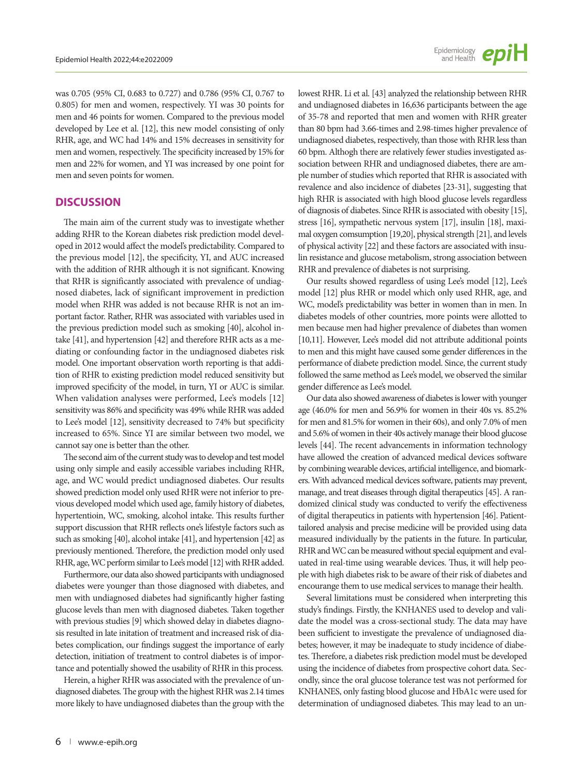was 0.705 (95% CI, 0.683 to 0.727) and 0.786 (95% CI, 0.767 to 0.805) for men and women, respectively. YI was 30 points for men and 46 points for women. Compared to the previous model developed by Lee et al. [12], this new model consisting of only RHR, age, and WC had 14% and 15% decreases in sensitivity for men and women, respectively. The specificity increased by 15% for men and 22% for women, and YI was increased by one point for men and seven points for women.

#### **DISCUSSION**

The main aim of the current study was to investigate whether adding RHR to the Korean diabetes risk prediction model developed in 2012 would affect the model's predictability. Compared to the previous model [12], the specificity, YI, and AUC increased with the addition of RHR although it is not significant. Knowing that RHR is significantly associated with prevalence of undiagnosed diabetes, lack of significant improvement in prediction model when RHR was added is not because RHR is not an important factor. Rather, RHR was associated with variables used in the previous prediction model such as smoking [40], alcohol intake [41], and hypertension [42] and therefore RHR acts as a mediating or confounding factor in the undiagnosed diabetes risk model. One important observation worth reporting is that addition of RHR to existing prediction model reduced sensitivity but improved specificity of the model, in turn, YI or AUC is similar. When validation analyses were performed, Lee's models [12] sensitivity was 86% and specificity was 49% while RHR was added to Lee's model [12], sensitivity decreased to 74% but specificity increased to 65%. Since YI are similar between two model, we cannot say one is better than the other.

The second aim of the current study was to develop and test model using only simple and easily accessible variabes including RHR, age, and WC would predict undiagnosed diabetes. Our results showed prediction model only used RHR were not inferior to previous developed model which used age, family history of diabetes, hypertentioin, WC, smoking, alcohol intake. This results further support discussion that RHR reflects one's lifestyle factors such as such as smoking [40], alcohol intake [41], and hypertension [42] as previously mentioned. Therefore, the prediction model only used RHR, age, WC perform similar to Lee's model [12] with RHR added.

Furthermore, our data also showed participants with undiagnosed diabetes were younger than those diagnosed with diabetes, and men with undiagnosed diabetes had significantly higher fasting glucose levels than men with diagnosed diabetes. Taken together with previous studies [9] which showed delay in diabetes diagnosis resulted in late initation of treatment and increased risk of diabetes complication, our findings suggest the importance of early detection, initiation of treatment to control diabetes is of importance and potentially showed the usability of RHR in this process.

Herein, a higher RHR was associated with the prevalence of undiagnosed diabetes. The group with the highest RHR was 2.14 times more likely to have undiagnosed diabetes than the group with the lowest RHR. Li et al. [43] analyzed the relationship between RHR and undiagnosed diabetes in 16,636 participants between the age of 35-78 and reported that men and women with RHR greater than 80 bpm had 3.66-times and 2.98-times higher prevalence of undiagnosed diabetes, respectively, than those with RHR less than 60 bpm. Althogh there are relatively fewer studies investigated association between RHR and undiagnosed diabetes, there are ample number of studies which reported that RHR is associated with revalence and also incidence of diabetes [23-31], suggesting that high RHR is associated with high blood glucose levels regardless of diagnosis of diabetes. Since RHR is associated with obesity [15], stress [16], sympathetic nervous system [17], insulin [18], maximal oxygen comsumption [19,20], physical strength [21], and levels of physical activity [22] and these factors are associated with insulin resistance and glucose metabolism, strong association between RHR and prevalence of diabetes is not surprising.

Our results showed regardless of using Lee's model [12], Lee's model [12] plus RHR or model which only used RHR, age, and WC, model's predictability was better in women than in men. In diabetes models of other countries, more points were allotted to men because men had higher prevalence of diabetes than women [10,11]. However, Lee's model did not attribute additional points to men and this might have caused some gender differences in the performance of diabete prediction model. Since, the current study followed the same method as Lee's model, we observed the similar gender difference as Lee's model.

Our data also showed awareness of diabetes is lower with younger age (46.0% for men and 56.9% for women in their 40s vs. 85.2% for men and 81.5% for women in their 60s), and only 7.0% of men and 5.6% of women in their 40s actively manage their blood glucose levels [44]. The recent advancements in information technology have allowed the creation of advanced medical devices software by combining wearable devices, artificial intelligence, and biomarkers. With advanced medical devices software, patients may prevent, manage, and treat diseases through digital therapeutics [45]. A randomized clinical study was conducted to verify the effectiveness of digital therapeutics in patients with hypertension [46]. Patienttailored analysis and precise medicine will be provided using data measured individually by the patients in the future. In particular, RHR and WC can be measured without special equipment and evaluated in real-time using wearable devices. Thus, it will help people with high diabetes risk to be aware of their risk of diabetes and encourange them to use medical services to manage their health.

Several limitations must be considered when interpreting this study's findings. Firstly, the KNHANES used to develop and validate the model was a cross-sectional study. The data may have been sufficient to investigate the prevalence of undiagnosed diabetes; however, it may be inadequate to study incidence of diabetes. Therefore, a diabetes risk prediction model must be developed using the incidence of diabetes from prospective cohort data. Secondly, since the oral glucose tolerance test was not performed for KNHANES, only fasting blood glucose and HbA1c were used for determination of undiagnosed diabetes. This may lead to an un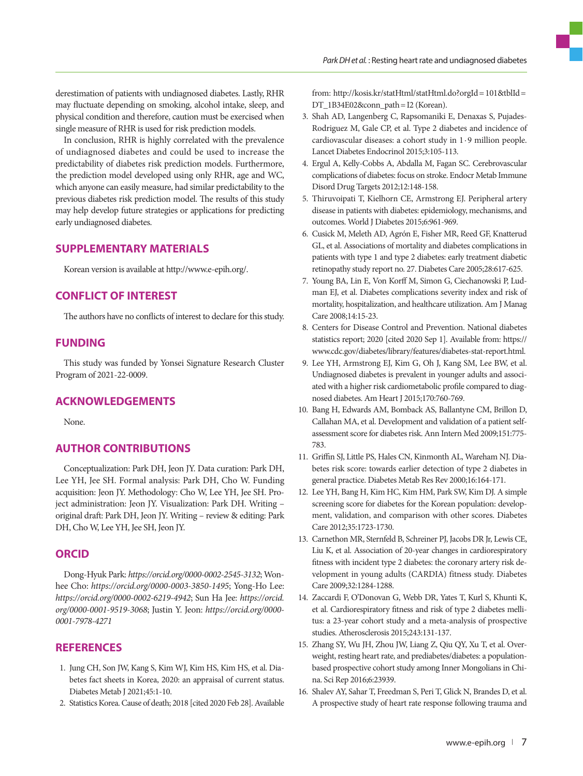derestimation of patients with undiagnosed diabetes. Lastly, RHR may fluctuate depending on smoking, alcohol intake, sleep, and physical condition and therefore, caution must be exercised when single measure of RHR is used for risk prediction models.

In conclusion, RHR is highly correlated with the prevalence of undiagnosed diabetes and could be used to increase the predictability of diabetes risk prediction models. Furthermore, the prediction model developed using only RHR, age and WC, which anyone can easily measure, had similar predictability to the previous diabetes risk prediction model. The results of this study may help develop future strategies or applications for predicting early undiagnosed diabetes.

## **SUPPLEMENTARY MATERIALS**

Korean version is available at http://www.e-epih.org/.

## **CONFLICT OF INTEREST**

The authors have no conflicts of interest to declare for this study.

## **FUNDING**

This study was funded by Yonsei Signature Research Cluster Program of 2021-22-0009.

## **ACKNOWLEDGEMENTS**

None.

## **AUTHOR CONTRIBUTIONS**

Conceptualization: Park DH, Jeon JY. Data curation: Park DH, Lee YH, Jee SH. Formal analysis: Park DH, Cho W. Funding acquisition: Jeon JY. Methodology: Cho W, Lee YH, Jee SH. Project administration: Jeon JY. Visualization: Park DH. Writing – original draft: Park DH, Jeon JY. Writing – review & editing: Park DH, Cho W, Lee YH, Jee SH, Jeon JY.

## **ORCID**

Dong-Hyuk Park: *https://orcid.org/0000-0002-2545-3132*; Wonhee Cho: *https://orcid.org/0000-0003-3850-1495*; Yong-Ho Lee: *https://orcid.org/0000-0002-6219-4942*; Sun Ha Jee: *https://orcid. org/0000-0001-9519-3068*; Justin Y. Jeon: *https://orcid.org/0000- 0001-7978-4271*

## **REFERENCES**

- 1. Jung CH, Son JW, Kang S, Kim WJ, Kim HS, Kim HS, et al. Diabetes fact sheets in Korea, 2020: an appraisal of current status. Diabetes Metab J 2021;45:1-10.
- 2. Statistics Korea. Cause of death; 2018 [cited 2020 Feb 28]. Available

from: [http://kosis.kr/statHtml/statHtml.do?orgId= 101&tblId=](http://kosis.kr/statHtml/statHtml.do?orgId=101&tblId=DT_1B34E02&conn_path=I2) DT\_1B34E02&conn\_path = I2 (Korean).

- 3. Shah AD, Langenberg C, Rapsomaniki E, Denaxas S, Pujades-Rodriguez M, Gale CP, et al. Type 2 diabetes and incidence of cardiovascular diseases: a cohort study in 1 · 9 million people. Lancet Diabetes Endocrinol 2015;3:105-113.
- 4. Ergul A, Kelly-Cobbs A, Abdalla M, Fagan SC. Cerebrovascular complications of diabetes: focus on stroke. Endocr Metab Immune Disord Drug Targets 2012;12:148-158.
- 5. Thiruvoipati T, Kielhorn CE, Armstrong EJ. Peripheral artery disease in patients with diabetes: epidemiology, mechanisms, and outcomes. World J Diabetes 2015;6:961-969.
- 6. Cusick M, Meleth AD, Agrón E, Fisher MR, Reed GF, Knatterud GL, et al. Associations of mortality and diabetes complications in patients with type 1 and type 2 diabetes: early treatment diabetic retinopathy study report no. 27. Diabetes Care 2005;28:617-625.
- 7. Young BA, Lin E, Von Korff M, Simon G, Ciechanowski P, Ludman EJ, et al. Diabetes complications severity index and risk of mortality, hospitalization, and healthcare utilization. Am J Manag Care 2008;14:15-23.
- 8. Centers for Disease Control and Prevention. National diabetes statistics report; 2020 [cited 2020 Sep 1]. Available from: [https://](https://www.cdc.gov/diabetes/library/features/diabetes-stat-report.html) [www.cdc.gov/diabetes/library/features/diabetes-stat-report.html](https://www.cdc.gov/diabetes/library/features/diabetes-stat-report.html).
- 9. Lee YH, Armstrong EJ, Kim G, Oh J, Kang SM, Lee BW, et al. Undiagnosed diabetes is prevalent in younger adults and associated with a higher risk cardiometabolic profile compared to diagnosed diabetes. Am Heart J 2015;170:760-769.
- 10. Bang H, Edwards AM, Bomback AS, Ballantyne CM, Brillon D, Callahan MA, et al. Development and validation of a patient selfassessment score for diabetes risk. Ann Intern Med 2009;151:775- 783.
- 11. Griffin SJ, Little PS, Hales CN, Kinmonth AL, Wareham NJ. Diabetes risk score: towards earlier detection of type 2 diabetes in general practice. Diabetes Metab Res Rev 2000;16:164-171.
- 12. Lee YH, Bang H, Kim HC, Kim HM, Park SW, Kim DJ. A simple screening score for diabetes for the Korean population: development, validation, and comparison with other scores. Diabetes Care 2012;35:1723-1730.
- 13. Carnethon MR, Sternfeld B, Schreiner PJ, Jacobs DR Jr, Lewis CE, Liu K, et al. Association of 20-year changes in cardiorespiratory fitness with incident type 2 diabetes: the coronary artery risk development in young adults (CARDIA) fitness study. Diabetes Care 2009;32:1284-1288.
- 14. Zaccardi F, O'Donovan G, Webb DR, Yates T, Kurl S, Khunti K, et al. Cardiorespiratory fitness and risk of type 2 diabetes mellitus: a 23-year cohort study and a meta-analysis of prospective studies. Atherosclerosis 2015;243:131-137.
- 15. Zhang SY, Wu JH, Zhou JW, Liang Z, Qiu QY, Xu T, et al. Overweight, resting heart rate, and prediabetes/diabetes: a populationbased prospective cohort study among Inner Mongolians in China. Sci Rep 2016;6:23939.
- 16. Shalev AY, Sahar T, Freedman S, Peri T, Glick N, Brandes D, et al. A prospective study of heart rate response following trauma and